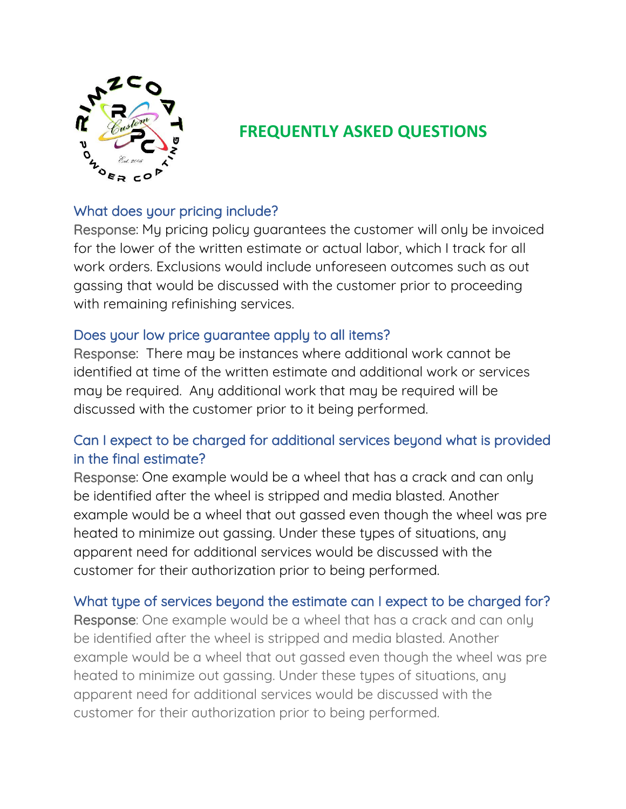

# **FREQUENTLY ASKED QUESTIONS**

# What does your pricing include?

Response: My pricing policy guarantees the customer will only be invoiced for the lower of the written estimate or actual labor, which I track for all work orders. Exclusions would include unforeseen outcomes such as out gassing that would be discussed with the customer prior to proceeding with remaining refinishing services.

## Does your low price guarantee apply to all items?

Response: There may be instances where additional work cannot be identified at time of the written estimate and additional work or services may be required. Any additional work that may be required will be discussed with the customer prior to it being performed.

# Can I expect to be charged for additional services beyond what is provided in the final estimate?

Response: One example would be a wheel that has a crack and can only be identified after the wheel is stripped and media blasted. Another example would be a wheel that out gassed even though the wheel was pre heated to minimize out gassing. Under these types of situations, any apparent need for additional services would be discussed with the customer for their authorization prior to being performed.

# What type of services beyond the estimate can I expect to be charged for?

Response: One example would be a wheel that has a crack and can only be identified after the wheel is stripped and media blasted. Another example would be a wheel that out gassed even though the wheel was pre heated to minimize out gassing. Under these types of situations, any apparent need for additional services would be discussed with the customer for their authorization prior to being performed.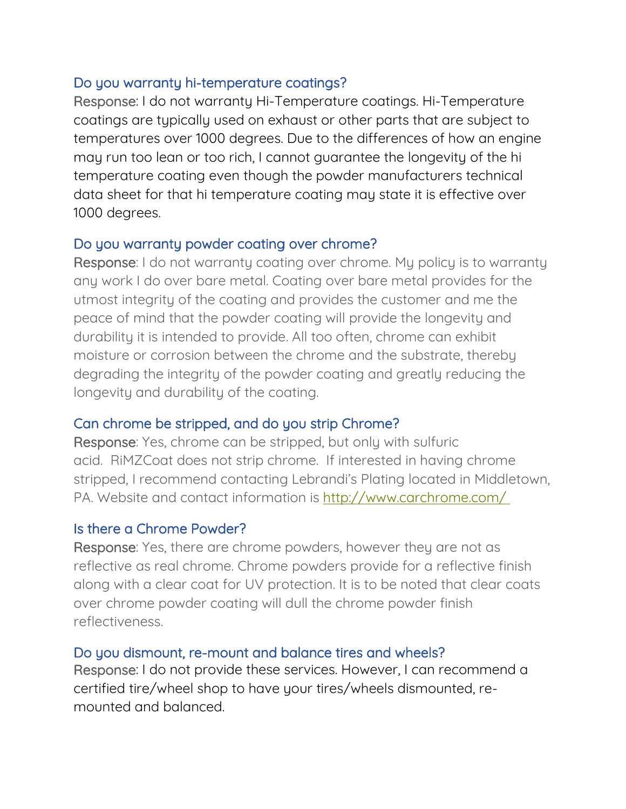## Do you warranty hi-temperature coatings?

Response: I do not warranty Hi-Temperature coatings. Hi-Temperature coatings are typically used on exhaust or other parts that are subject to temperatures over 1000 degrees. Due to the differences of how an engine may run too lean or too rich, I cannot guarantee the longevity of the hi temperature coating even though the powder manufacturers technical data sheet for that hi temperature coating may state it is effective over 1000 degrees.

#### Do you warranty powder coating over chrome?

Response: I do not warranty coating over chrome. My policy is to warranty any work I do over bare metal. Coating over bare metal provides for the utmost integrity of the coating and provides the customer and me the peace of mind that the powder coating will provide the longevity and durability it is intended to provide. All too often, chrome can exhibit moisture or corrosion between the chrome and the substrate, thereby degrading the integrity of the powder coating and greatly reducing the longevity and durability of the coating.

## Can chrome be stripped, and do you strip Chrome?

Response: Yes, chrome can be stripped, but only with sulfuric acid. RiMZCoat does not strip chrome. If interested in having chrome stripped, I recommend contacting Lebrandi's Plating located in Middletown, PA. Website and contact information is [http://www.carchrome.com/](http://www.carchrome.com/%C2%A0)

## Is there a Chrome Powder?

Response: Yes, there are chrome powders, however they are not as reflective as real chrome. Chrome powders provide for a reflective finish along with a clear coat for UV protection. It is to be noted that clear coats over chrome powder coating will dull the chrome powder finish reflectiveness.

## Do you dismount, re-mount and balance tires and wheels?

Response: I do not provide these services. However, I can recommend a certified tire/wheel shop to have your tires/wheels dismounted, remounted and balanced.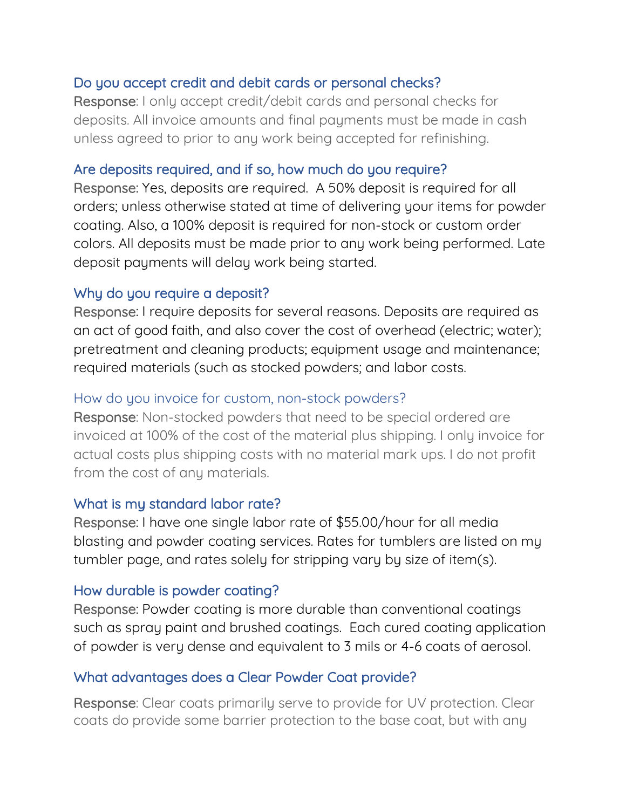## Do you accept credit and debit cards or personal checks?

Response: I only accept credit/debit cards and personal checks for deposits. All invoice amounts and final payments must be made in cash unless agreed to prior to any work being accepted for refinishing.

## Are deposits required, and if so, how much do you require?

Response: Yes, deposits are required. A 50% deposit is required for all orders; unless otherwise stated at time of delivering your items for powder coating. Also, a 100% deposit is required for non-stock or custom order colors. All deposits must be made prior to any work being performed. Late deposit payments will delay work being started.

## Why do you require a deposit?

Response: I require deposits for several reasons. Deposits are required as an act of good faith, and also cover the cost of overhead (electric; water); pretreatment and cleaning products; equipment usage and maintenance; required materials (such as stocked powders; and labor costs.

## How do you invoice for custom, non-stock powders?

Response: Non-stocked powders that need to be special ordered are invoiced at 100% of the cost of the material plus shipping. I only invoice for actual costs plus shipping costs with no material mark ups. I do not profit from the cost of any materials.

## What is my standard labor rate?

Response: I have one single labor rate of \$55.00/hour for all media blasting and powder coating services. Rates for tumblers are listed on my tumbler page, and rates solely for stripping vary by size of item(s).

## How durable is powder coating?

Response: Powder coating is more durable than conventional coatings such as spray paint and brushed coatings. Each cured coating application of powder is very dense and equivalent to 3 mils or 4-6 coats of aerosol.

# What advantages does a Clear Powder Coat provide?

Response: Clear coats primarily serve to provide for UV protection. Clear coats do provide some barrier protection to the base coat, but with any